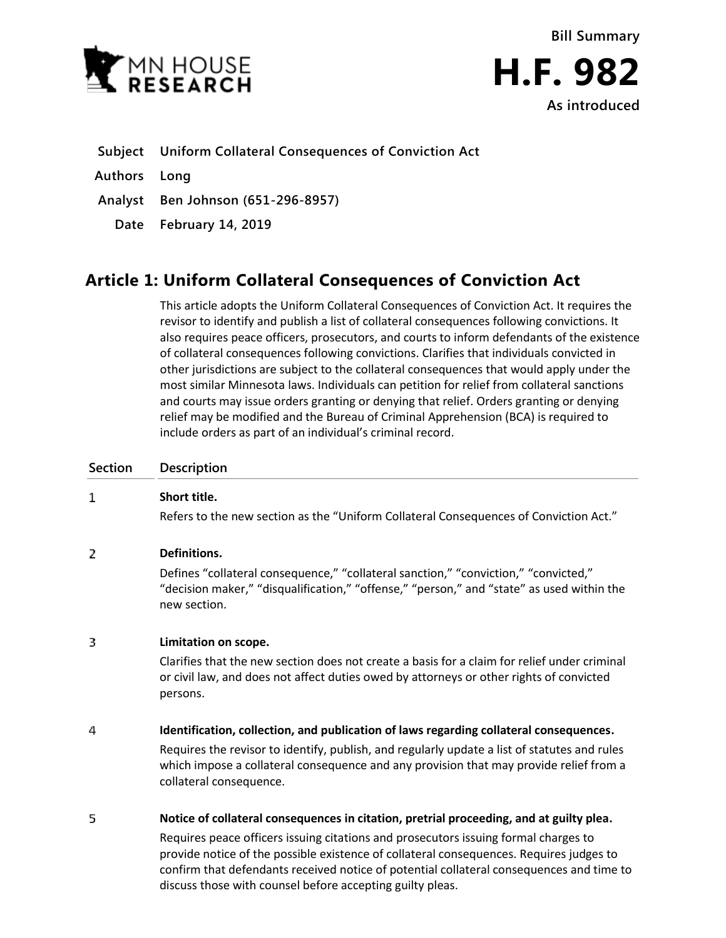

## **Subject Uniform Collateral Consequences of Conviction Act**

**Authors Long**

**Analyst Ben Johnson (651-296-8957)**

**Date February 14, 2019**

# **Article 1: Uniform Collateral Consequences of Conviction Act**

This article adopts the Uniform Collateral Consequences of Conviction Act. It requires the revisor to identify and publish a list of collateral consequences following convictions. It also requires peace officers, prosecutors, and courts to inform defendants of the existence of collateral consequences following convictions. Clarifies that individuals convicted in other jurisdictions are subject to the collateral consequences that would apply under the most similar Minnesota laws. Individuals can petition for relief from collateral sanctions and courts may issue orders granting or denying that relief. Orders granting or denying relief may be modified and the Bureau of Criminal Apprehension (BCA) is required to include orders as part of an individual's criminal record.

### **Section Description**

#### $\mathbf{1}$ **Short title.**

Refers to the new section as the "Uniform Collateral Consequences of Conviction Act."

### $\overline{2}$ **Definitions.**

Defines "collateral consequence," "collateral sanction," "conviction," "convicted," "decision maker," "disqualification," "offense," "person," and "state" as used within the new section.

### 3 **Limitation on scope.**

Clarifies that the new section does not create a basis for a claim for relief under criminal or civil law, and does not affect duties owed by attorneys or other rights of convicted persons.

### 4 **Identification, collection, and publication of laws regarding collateral consequences.**

Requires the revisor to identify, publish, and regularly update a list of statutes and rules which impose a collateral consequence and any provision that may provide relief from a collateral consequence.

### 5 **Notice of collateral consequences in citation, pretrial proceeding, and at guilty plea.**

Requires peace officers issuing citations and prosecutors issuing formal charges to provide notice of the possible existence of collateral consequences. Requires judges to confirm that defendants received notice of potential collateral consequences and time to discuss those with counsel before accepting guilty pleas.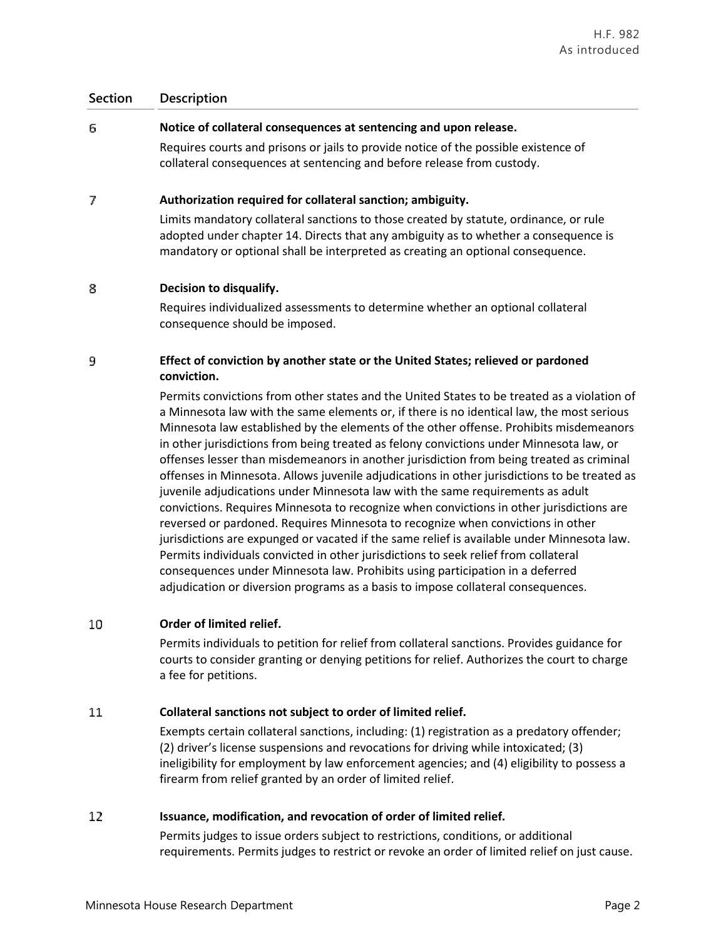### **Section Description**

### 6. **Notice of collateral consequences at sentencing and upon release.**

Requires courts and prisons or jails to provide notice of the possible existence of collateral consequences at sentencing and before release from custody.

### 7 **Authorization required for collateral sanction; ambiguity.**

Limits mandatory collateral sanctions to those created by statute, ordinance, or rule adopted under chapter 14. Directs that any ambiguity as to whether a consequence is mandatory or optional shall be interpreted as creating an optional consequence.

### 8 **Decision to disqualify.**

Requires individualized assessments to determine whether an optional collateral consequence should be imposed.

### 9 **Effect of conviction by another state or the United States; relieved or pardoned conviction.**

Permits convictions from other states and the United States to be treated as a violation of a Minnesota law with the same elements or, if there is no identical law, the most serious Minnesota law established by the elements of the other offense. Prohibits misdemeanors in other jurisdictions from being treated as felony convictions under Minnesota law, or offenses lesser than misdemeanors in another jurisdiction from being treated as criminal offenses in Minnesota. Allows juvenile adjudications in other jurisdictions to be treated as juvenile adjudications under Minnesota law with the same requirements as adult convictions. Requires Minnesota to recognize when convictions in other jurisdictions are reversed or pardoned. Requires Minnesota to recognize when convictions in other jurisdictions are expunged or vacated if the same relief is available under Minnesota law. Permits individuals convicted in other jurisdictions to seek relief from collateral consequences under Minnesota law. Prohibits using participation in a deferred adjudication or diversion programs as a basis to impose collateral consequences.

### **Order of limited relief.** 10

Permits individuals to petition for relief from collateral sanctions. Provides guidance for courts to consider granting or denying petitions for relief. Authorizes the court to charge a fee for petitions.

### 11 **Collateral sanctions not subject to order of limited relief.**

Exempts certain collateral sanctions, including: (1) registration as a predatory offender; (2) driver's license suspensions and revocations for driving while intoxicated; (3) ineligibility for employment by law enforcement agencies; and (4) eligibility to possess a firearm from relief granted by an order of limited relief.

### 12 **Issuance, modification, and revocation of order of limited relief.**

Permits judges to issue orders subject to restrictions, conditions, or additional requirements. Permits judges to restrict or revoke an order of limited relief on just cause.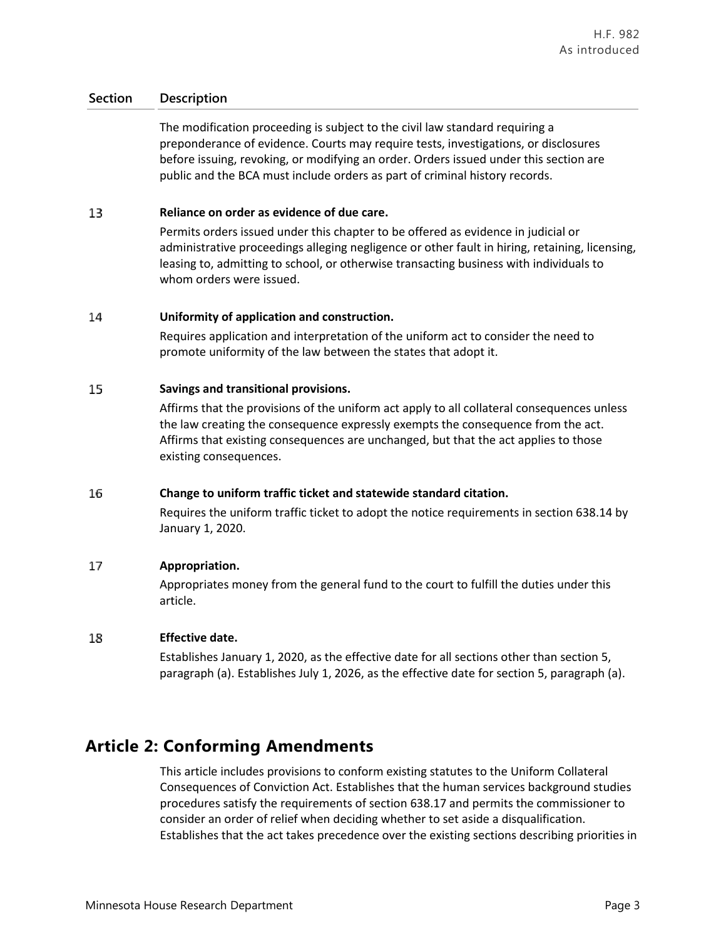### **Section Description**

The modification proceeding is subject to the civil law standard requiring a preponderance of evidence. Courts may require tests, investigations, or disclosures before issuing, revoking, or modifying an order. Orders issued under this section are public and the BCA must include orders as part of criminal history records.

### 13 **Reliance on order as evidence of due care.**

Permits orders issued under this chapter to be offered as evidence in judicial or administrative proceedings alleging negligence or other fault in hiring, retaining, licensing, leasing to, admitting to school, or otherwise transacting business with individuals to whom orders were issued.

### 14 **Uniformity of application and construction.**

Requires application and interpretation of the uniform act to consider the need to promote uniformity of the law between the states that adopt it.

### 15 **Savings and transitional provisions.**

Affirms that the provisions of the uniform act apply to all collateral consequences unless the law creating the consequence expressly exempts the consequence from the act. Affirms that existing consequences are unchanged, but that the act applies to those existing consequences.

#### 16 **Change to uniform traffic ticket and statewide standard citation.**

Requires the uniform traffic ticket to adopt the notice requirements in section 638.14 by January 1, 2020.

### 17 **Appropriation.**

Appropriates money from the general fund to the court to fulfill the duties under this article.

### 18 **Effective date.**

Establishes January 1, 2020, as the effective date for all sections other than section 5, paragraph (a). Establishes July 1, 2026, as the effective date for section 5, paragraph (a).

## **Article 2: Conforming Amendments**

This article includes provisions to conform existing statutes to the Uniform Collateral Consequences of Conviction Act. Establishes that the human services background studies procedures satisfy the requirements of section 638.17 and permits the commissioner to consider an order of relief when deciding whether to set aside a disqualification. Establishes that the act takes precedence over the existing sections describing priorities in